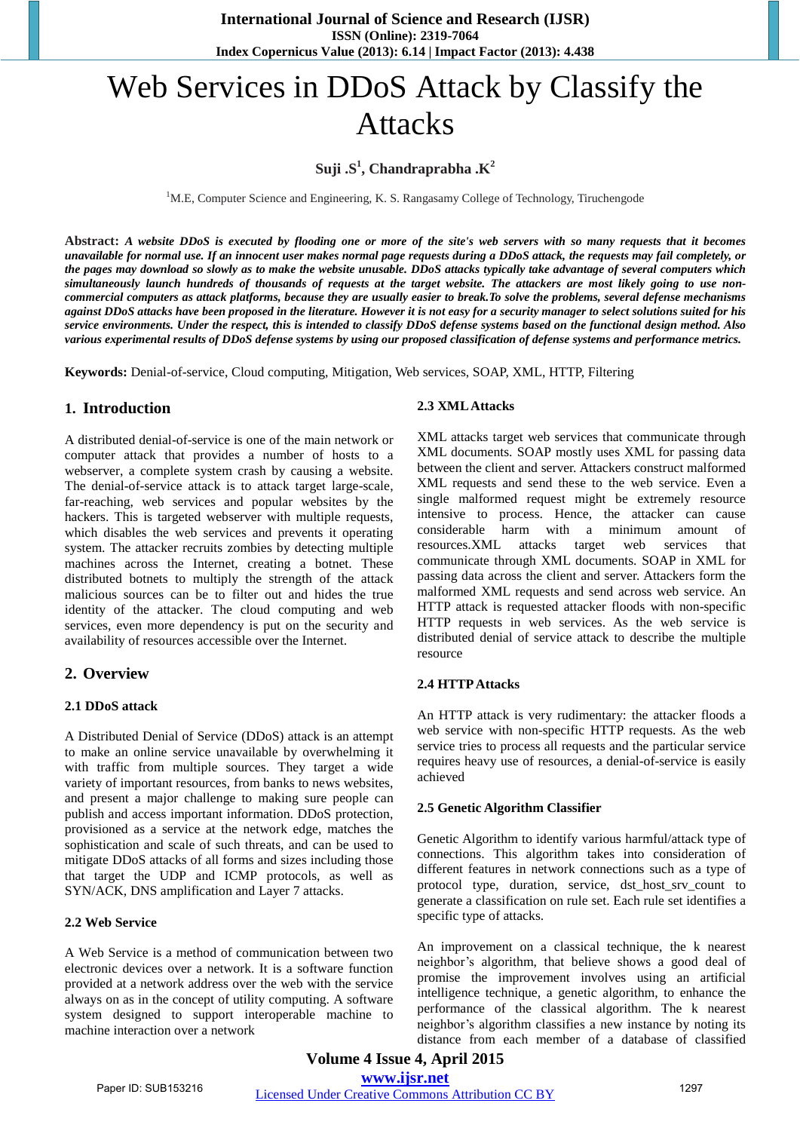# Web Services in DDoS Attack by Classify the Attacks

# **Suji .S<sup>1</sup> , Chandraprabha .K<sup>2</sup>**

<sup>1</sup>M.E, Computer Science and Engineering, K. S. Rangasamy College of Technology, Tiruchengode

**Abstract:** *A website DDoS is executed by flooding one or more of the site's web servers with so many requests that it becomes unavailable for normal use. If an innocent user makes normal page requests during a DDoS attack, the requests may fail completely, or the pages may download so slowly as to make the website unusable. DDoS attacks typically take advantage of several computers which simultaneously launch hundreds of thousands of requests at the target website. The attackers are most likely going to use noncommercial computers as attack platforms, because they are usually easier to break.To solve the problems, several defense mechanisms against DDoS attacks have been proposed in the literature. However it is not easy for a security manager to select solutions suited for his service environments. Under the respect, this is intended to classify DDoS defense systems based on the functional design method. Also various experimental results of DDoS defense systems by using our proposed classification of defense systems and performance metrics.* 

**Keywords:** Denial-of-service, Cloud computing, Mitigation, Web services, SOAP, XML, HTTP, Filtering

# **1. Introduction**

A distributed denial-of-service is one of the main network or computer attack that provides a number of hosts to a webserver, a complete system crash by causing a website. The denial-of-service attack is to attack target large-scale, far-reaching, web services and popular websites by the hackers. This is targeted webserver with multiple requests, which disables the web services and prevents it operating system. The attacker recruits zombies by detecting multiple machines across the Internet, creating a botnet. These distributed botnets to multiply the strength of the attack malicious sources can be to filter out and hides the true identity of the attacker. The cloud computing and web services, even more dependency is put on the security and availability of resources accessible over the Internet.

# **2. Overview**

## **2.1 DDoS attack**

A Distributed Denial of Service (DDoS) attack is an attempt to make an online service unavailable by overwhelming it with traffic from multiple sources. They target a wide variety of important resources, from banks to news websites, and present a major challenge to making sure people can publish and access important information. DDoS protection, provisioned as a service at the network edge, matches the sophistication and scale of such threats, and can be used to mitigate DDoS attacks of all forms and sizes including those that target the UDP and ICMP protocols, as well as SYN/ACK, DNS amplification and Layer 7 attacks.

# **2.2 Web Service**

A Web Service is a method of communication between two electronic devices over a network. It is a software function provided at a network address over the web with the service always on as in the concept of utility computing. A software system designed to support interoperable machine to machine interaction over a network

#### **2.3 XML Attacks**

XML attacks target web services that communicate through XML documents. SOAP mostly uses XML for passing data between the client and server. Attackers construct malformed XML requests and send these to the web service. Even a single malformed request might be extremely resource intensive to process. Hence, the attacker can cause considerable harm with a minimum amount of resources.XML attacks target web services that communicate through XML documents. SOAP in XML for passing data across the client and server. Attackers form the malformed XML requests and send across web service. An HTTP attack is requested attacker floods with non-specific HTTP requests in web services. As the web service is distributed denial of service attack to describe the multiple resource

#### **2.4 HTTP Attacks**

An HTTP attack is very rudimentary: the attacker floods a web service with non-specific HTTP requests. As the web service tries to process all requests and the particular service requires heavy use of resources, a denial-of-service is easily achieved

#### **2.5 Genetic Algorithm Classifier**

Genetic Algorithm to identify various harmful/attack type of connections. This algorithm takes into consideration of different features in network connections such as a type of protocol type, duration, service, dst\_host\_srv\_count to generate a classification on rule set. Each rule set identifies a specific type of attacks.

An improvement on a classical technique, the k nearest neighbor's algorithm, that believe shows a good deal of promise the improvement involves using an artificial intelligence technique, a genetic algorithm, to enhance the performance of the classical algorithm. The k nearest neighbor's algorithm classifies a new instance by noting its distance from each member of a database of classified

**Volume 4 Issue 4, April 2015 <www.ijsr.net>** Paper ID: SUB153216 *[Licensed Under Creative Commons Attribution CC BY](http://creativecommons.org/licenses/by/4.0/)* 1297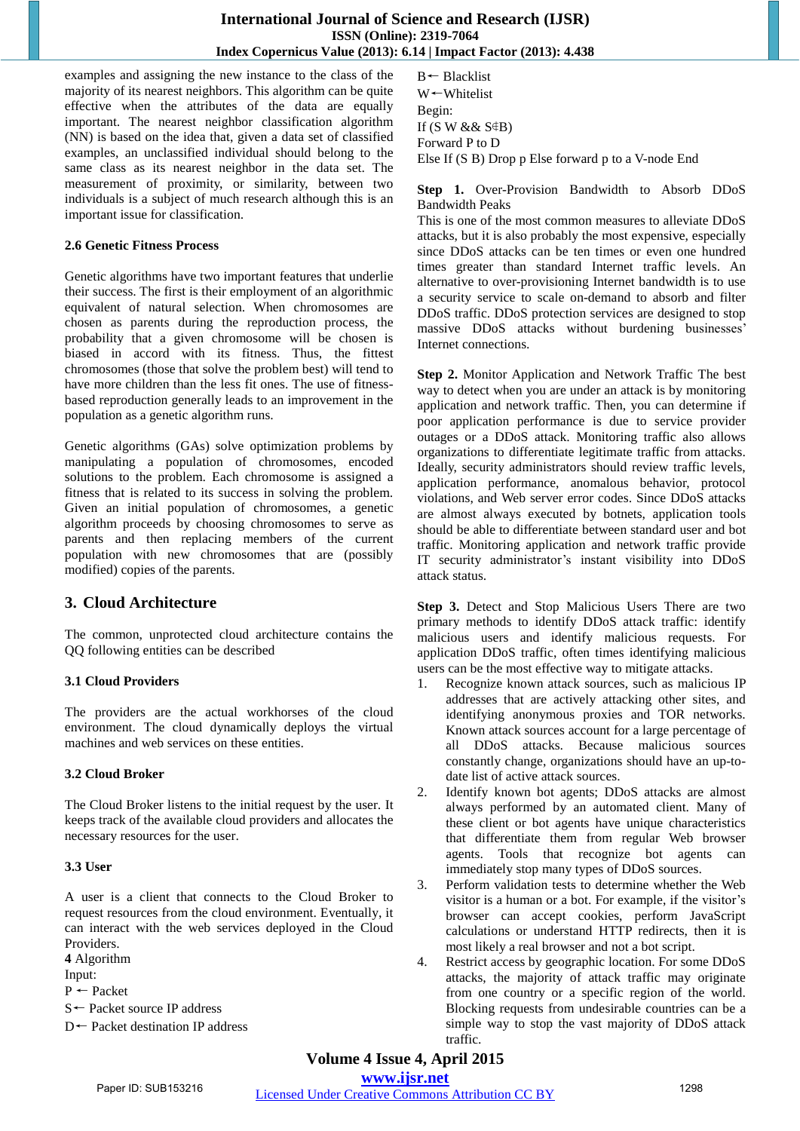## **International Journal of Science and Research (IJSR) ISSN (Online): 2319-7064 Index Copernicus Value (2013): 6.14 | Impact Factor (2013): 4.438**

examples and assigning the new instance to the class of the majority of its nearest neighbors. This algorithm can be quite effective when the attributes of the data are equally important. The nearest neighbor classification algorithm (NN) is based on the idea that, given a data set of classified examples, an unclassified individual should belong to the same class as its nearest neighbor in the data set. The measurement of proximity, or similarity, between two individuals is a subject of much research although this is an important issue for classification.

## **2.6 Genetic Fitness Process**

Genetic algorithms have two important features that underlie their success. The first is their employment of an algorithmic equivalent of natural selection. When chromosomes are chosen as parents during the reproduction process, the probability that a given chromosome will be chosen is biased in accord with its fitness. Thus, the fittest chromosomes (those that solve the problem best) will tend to have more children than the less fit ones. The use of fitnessbased reproduction generally leads to an improvement in the population as a genetic algorithm runs.

Genetic algorithms (GAs) solve optimization problems by manipulating a population of chromosomes, encoded solutions to the problem. Each chromosome is assigned a fitness that is related to its success in solving the problem. Given an initial population of chromosomes, a genetic algorithm proceeds by choosing chromosomes to serve as parents and then replacing members of the current population with new chromosomes that are (possibly modified) copies of the parents.

# **3. Cloud Architecture**

The common, unprotected cloud architecture contains the QQ following entities can be described

# **3.1 Cloud Providers**

The providers are the actual workhorses of the cloud environment. The cloud dynamically deploys the virtual machines and web services on these entities.

# **3.2 Cloud Broker**

The Cloud Broker listens to the initial request by the user. It keeps track of the available cloud providers and allocates the necessary resources for the user.

# **3.3 User**

A user is a client that connects to the Cloud Broker to request resources from the cloud environment. Eventually, it can interact with the web services deployed in the Cloud Providers.

**4** Algorithm

Input:

P ← Packet

S← Packet source IP address

D← Packet destination IP address

B← Blacklist W←Whitelist Begin: If  $(S W &\&& S \oplus B)$ Forward P to D Else If (S B) Drop p Else forward p to a V-node End

## **Step 1.** Over-Provision Bandwidth to Absorb DDoS Bandwidth Peaks

This is one of the most common measures to alleviate DDoS attacks, but it is also probably the most expensive, especially since DDoS attacks can be ten times or even one hundred times greater than standard Internet traffic levels. An alternative to over-provisioning Internet bandwidth is to use a security service to scale on-demand to absorb and filter DDoS traffic. DDoS protection services are designed to stop massive DDoS attacks without burdening businesses' Internet connections.

**Step 2.** Monitor Application and Network Traffic The best way to detect when you are under an attack is by monitoring application and network traffic. Then, you can determine if poor application performance is due to service provider outages or a DDoS attack. Monitoring traffic also allows organizations to differentiate legitimate traffic from attacks. Ideally, security administrators should review traffic levels, application performance, anomalous behavior, protocol violations, and Web server error codes. Since DDoS attacks are almost always executed by botnets, application tools should be able to differentiate between standard user and bot traffic. Monitoring application and network traffic provide IT security administrator's instant visibility into DDoS attack status.

**Step 3.** Detect and Stop Malicious Users There are two primary methods to identify DDoS attack traffic: identify malicious users and identify malicious requests. For application DDoS traffic, often times identifying malicious users can be the most effective way to mitigate attacks.

- 1. Recognize known attack sources, such as malicious IP addresses that are actively attacking other sites, and identifying anonymous proxies and TOR networks. Known attack sources account for a large percentage of all DDoS attacks. Because malicious sources constantly change, organizations should have an up-todate list of active attack sources.
- 2. Identify known bot agents; DDoS attacks are almost always performed by an automated client. Many of these client or bot agents have unique characteristics that differentiate them from regular Web browser agents. Tools that recognize bot agents can immediately stop many types of DDoS sources.
- 3. Perform validation tests to determine whether the Web visitor is a human or a bot. For example, if the visitor's browser can accept cookies, perform JavaScript calculations or understand HTTP redirects, then it is most likely a real browser and not a bot script.
- 4. Restrict access by geographic location. For some DDoS attacks, the majority of attack traffic may originate from one country or a specific region of the world. Blocking requests from undesirable countries can be a simple way to stop the vast majority of DDoS attack traffic.